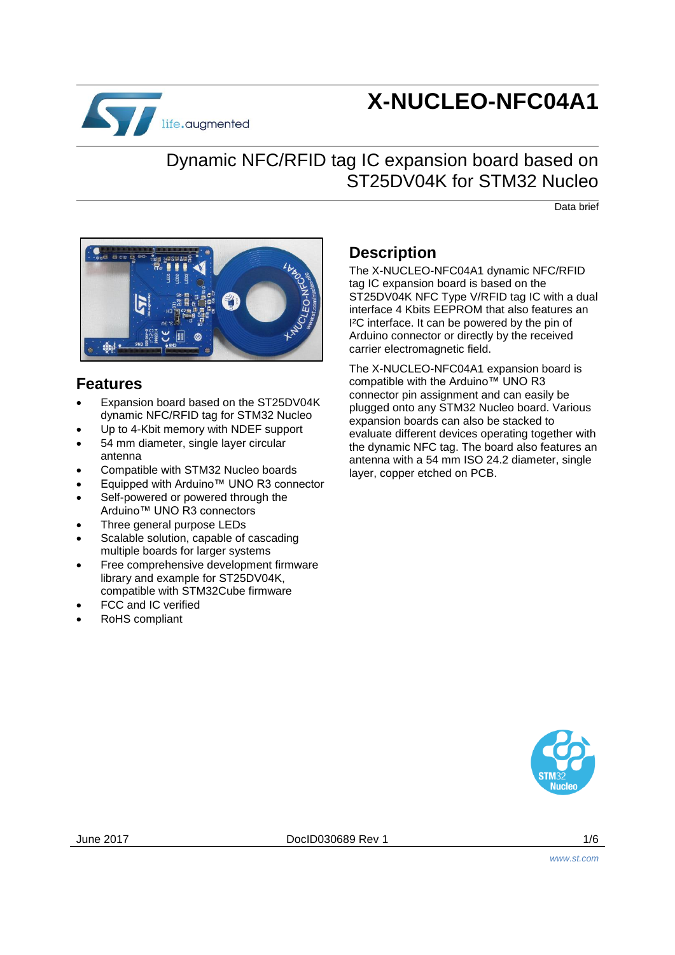

# **X-NUCLEO-NFC04A1**

# Dynamic NFC/RFID tag IC expansion board based on ST25DV04K for STM32 Nucleo

Data brief



# **Features**

- Expansion board based on the ST25DV04K dynamic NFC/RFID tag for STM32 Nucleo
- Up to 4-Kbit memory with NDEF support
- 54 mm diameter, single layer circular antenna
- Compatible with STM32 Nucleo boards
- Equipped with Arduino™ UNO R3 connector
- Self-powered or powered through the Arduino™ UNO R3 connectors
- Three general purpose LEDs
- Scalable solution, capable of cascading multiple boards for larger systems
- Free comprehensive development firmware library and example for ST25DV04K, compatible with STM32Cube firmware
- FCC and IC verified
- RoHS compliant

# **Description**

The X-NUCLEO-NFC04A1 dynamic NFC/RFID tag IC expansion board is based on the ST25DV04K NFC Type V/RFID tag IC with a dual interface 4 Kbits EEPROM that also features an I²C interface. It can be powered by the pin of Arduino connector or directly by the received carrier electromagnetic field.

The X-NUCLEO-NFC04A1 expansion board is compatible with the Arduino™ UNO R3 connector pin assignment and can easily be plugged onto any STM32 Nucleo board. Various expansion boards can also be stacked to evaluate different devices operating together with the dynamic NFC tag. The board also features an antenna with a 54 mm ISO 24.2 diameter, single layer, copper etched on PCB.

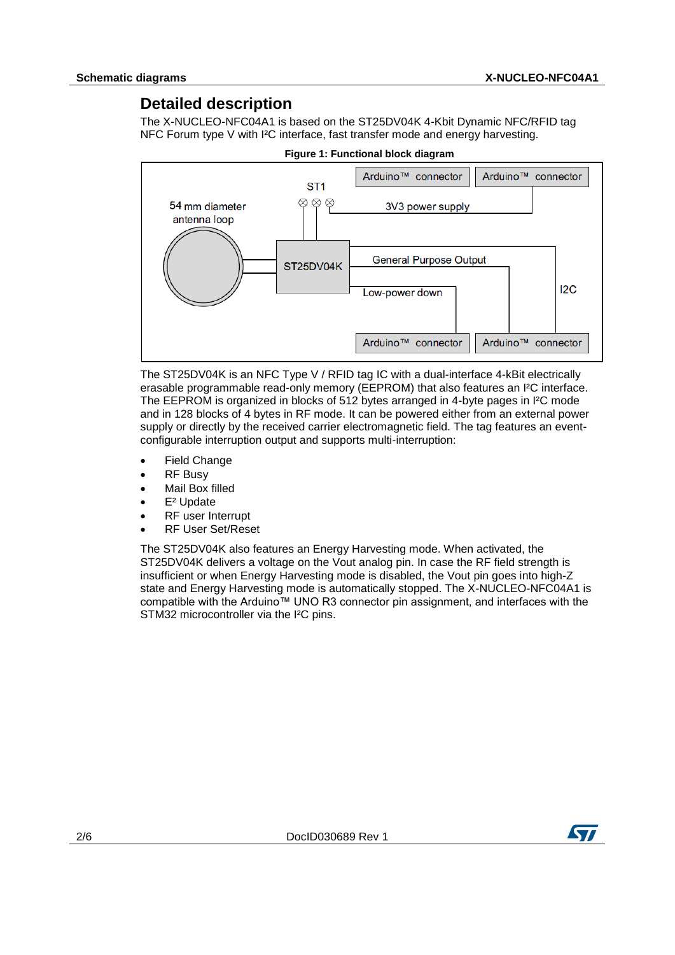### **Detailed description**

The X-NUCLEO-NFC04A1 is based on the ST25DV04K 4-Kbit Dynamic NFC/RFID tag NFC Forum type V with I²C interface, fast transfer mode and energy harvesting.



The ST25DV04K is an NFC Type V / RFID tag IC with a dual-interface 4-kBit electrically erasable programmable read-only memory (EEPROM) that also features an I²C interface. The EEPROM is organized in blocks of 512 bytes arranged in 4-byte pages in I²C mode and in 128 blocks of 4 bytes in RF mode. It can be powered either from an external power supply or directly by the received carrier electromagnetic field. The tag features an eventconfigurable interruption output and supports multi-interruption:

- Field Change
- RF Busy
- Mail Box filled
- E² Update
- RF user Interrupt
- RF User Set/Reset

The ST25DV04K also features an Energy Harvesting mode. When activated, the ST25DV04K delivers a voltage on the Vout analog pin. In case the RF field strength is insufficient or when Energy Harvesting mode is disabled, the Vout pin goes into high-Z state and Energy Harvesting mode is automatically stopped. The X-NUCLEO-NFC04A1 is compatible with the Arduino™ UNO R3 connector pin assignment, and interfaces with the STM32 microcontroller via the I<sup>2</sup>C pins.

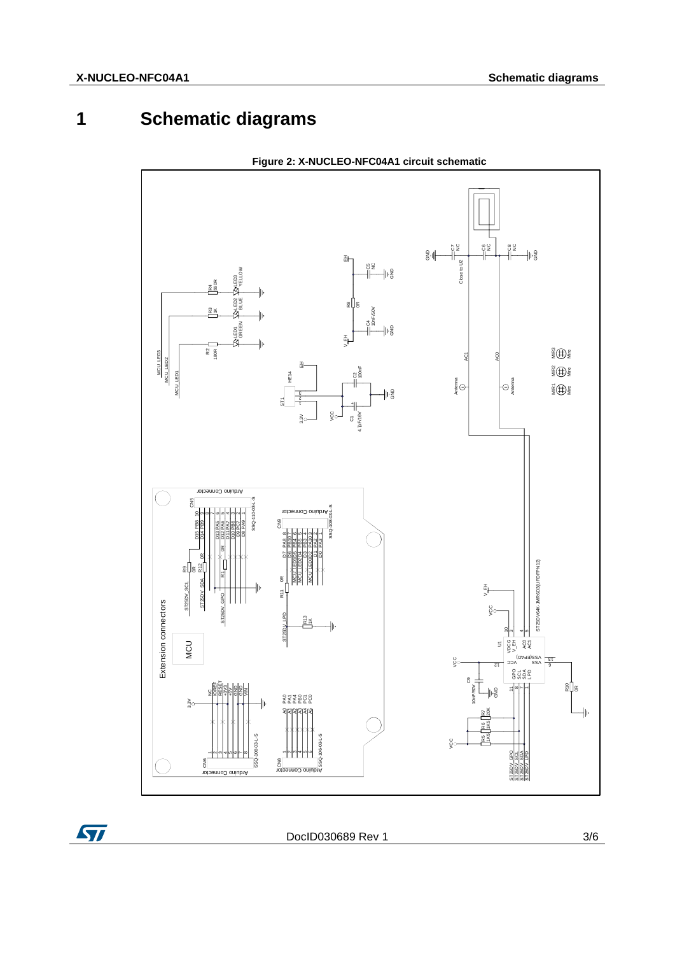# **1 Schematic diagrams**



**Figure 2: X-NUCLEO-NFC04A1 circuit schematic** 

ST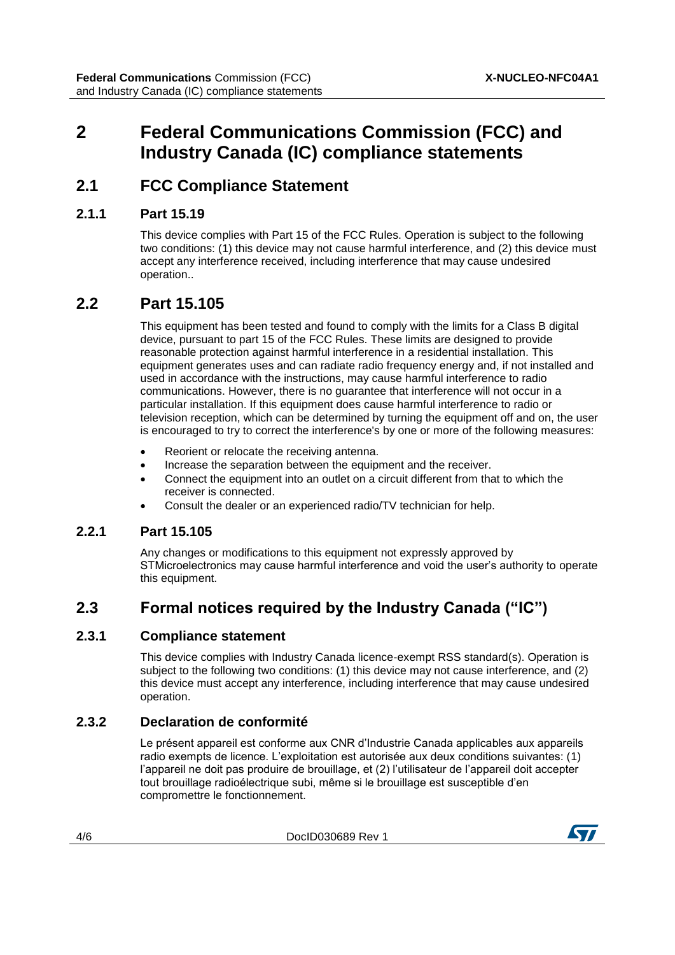# **2 Federal Communications Commission (FCC) and Industry Canada (IC) compliance statements**

### **2.1 FCC Compliance Statement**

#### **2.1.1 Part 15.19**

This device complies with Part 15 of the FCC Rules. Operation is subject to the following two conditions: (1) this device may not cause harmful interference, and (2) this device must accept any interference received, including interference that may cause undesired operation..

### **2.2 Part 15.105**

This equipment has been tested and found to comply with the limits for a Class B digital device, pursuant to part 15 of the FCC Rules. These limits are designed to provide reasonable protection against harmful interference in a residential installation. This equipment generates uses and can radiate radio frequency energy and, if not installed and used in accordance with the instructions, may cause harmful interference to radio communications. However, there is no guarantee that interference will not occur in a particular installation. If this equipment does cause harmful interference to radio or television reception, which can be determined by turning the equipment off and on, the user is encouraged to try to correct the interference's by one or more of the following measures:

- Reorient or relocate the receiving antenna.
- Increase the separation between the equipment and the receiver.
- Connect the equipment into an outlet on a circuit different from that to which the receiver is connected.
- Consult the dealer or an experienced radio/TV technician for help.

#### **2.2.1 Part 15.105**

Any changes or modifications to this equipment not expressly approved by STMicroelectronics may cause harmful interference and void the user's authority to operate this equipment.

# **2.3 Formal notices required by the Industry Canada ("IC")**

#### **2.3.1 Compliance statement**

This device complies with Industry Canada licence-exempt RSS standard(s). Operation is subject to the following two conditions: (1) this device may not cause interference, and (2) this device must accept any interference, including interference that may cause undesired operation.

#### **2.3.2 Declaration de conformité**

Le présent appareil est conforme aux CNR d'Industrie Canada applicables aux appareils radio exempts de licence. L'exploitation est autorisée aux deux conditions suivantes: (1) l'appareil ne doit pas produire de brouillage, et (2) l'utilisateur de l'appareil doit accepter tout brouillage radioélectrique subi, même si le brouillage est susceptible d'en compromettre le fonctionnement.

4/6 DocID030689 Rev 1

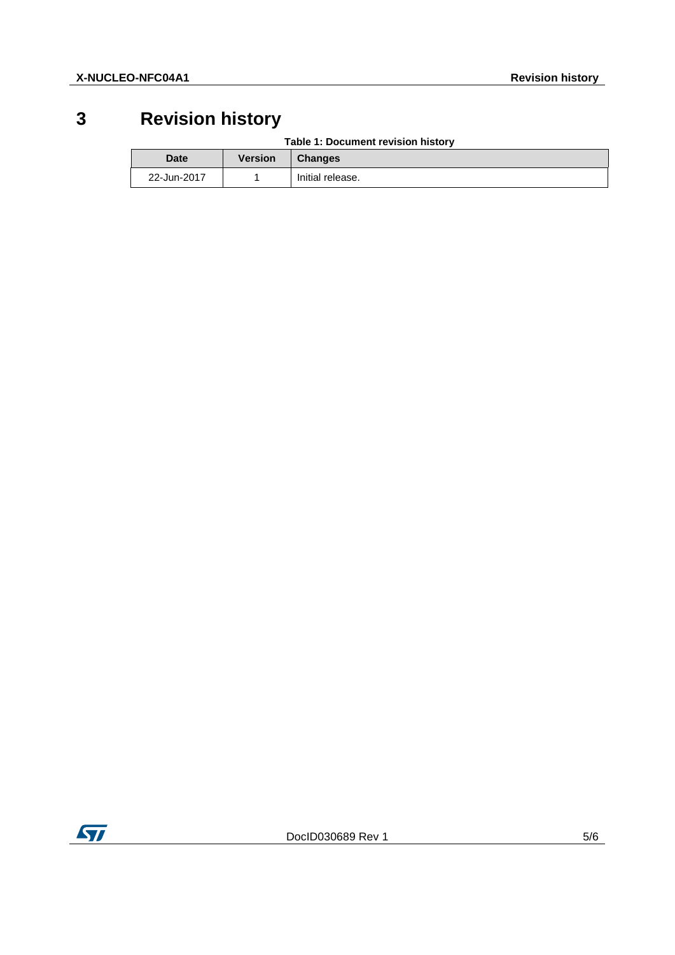# **3 Revision history**

| <b>Date</b> | Version | <b>Changes</b>   |
|-------------|---------|------------------|
| 22-Jun-2017 |         | Initial release. |